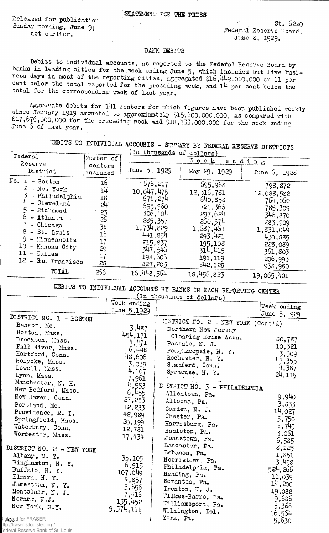## STATEMENT FOR THE PRESS

Released for publication Sunday morning, June 9; not earlier.

 $5t.6220$ Federal Reserve Board, Jttae *8,* 1929.

## BANK DEBITS

Debits to individual accounts, as reported to the Federal Reserve Board by banks in leading cities for the week ending June 5, which included but five business days in most of the reporting cities, aggregated \$16,449,000,000 or 11 per cent below the total reported for the preceding week, and 14 per cent below the total for the corresponding week of last year.

 $\pm 3.7$ 

Aggregate debits for 141 centers for which figures have been published weekly since January 1919 amounted to approximately \$15,500,000,000, as compared with *U f ,o J b ,000,000 for* the preceding week and 0 1 8 , 1 3 3 ,0 0 0 ,0 0 0 for the week ending June 5 of last year.

DEBITS TO INDIVIDUAL ACCOUNTS - SUMMARY BY FEDERAL RESERVE DISTRICTS

|                                                                                                                                                                                                                         |                                                                             | In thousands of dollars)                                                                                                                               |                                                                                                                                                       |                                                                                                                                       |  |
|-------------------------------------------------------------------------------------------------------------------------------------------------------------------------------------------------------------------------|-----------------------------------------------------------------------------|--------------------------------------------------------------------------------------------------------------------------------------------------------|-------------------------------------------------------------------------------------------------------------------------------------------------------|---------------------------------------------------------------------------------------------------------------------------------------|--|
| Federal<br>Reserve                                                                                                                                                                                                      | Number of                                                                   | $\mathbb{Z}$ e e k<br>ending                                                                                                                           |                                                                                                                                                       |                                                                                                                                       |  |
| District                                                                                                                                                                                                                | centers<br>included                                                         | June 5, 1929                                                                                                                                           | May 29, 1929                                                                                                                                          | June 5, 1928                                                                                                                          |  |
| No. 1 - Boston<br>$2$ - New York<br>- Philadelphia<br>- Cleveland<br>- Richmond<br>$-$ Atlanta<br>- Chicago<br>$8$ - St. Louis<br>$9 -$ Minneapolis<br>10 - Kansas City<br>$11 - Dallas$<br>12 - San Francisco<br>TOTAL | 16<br>14<br>18<br>24<br>23<br>26<br>38<br>16<br>17<br>29<br>17<br>28<br>255 | 575,217<br>10.047.475<br>671,274<br>595,950<br>306,404<br>285, 357<br>1,734,829<br>441,854<br>215,837<br>347,546<br>198,606<br>827,205<br>16, 448, 564 | 695,968<br>12, 316, 781<br>640,858<br>721,366<br>297,624<br>260,574<br>1,587,461<br>293,421<br>195,108<br>314,415<br>191,119<br>842,128<br>18,456,823 | 798,872<br>12,088,582<br>764,060<br>785,309<br>346,870<br>283,909<br>1,831,049<br>430,885<br>228,089<br>361,803<br>206,993<br>938,980 |  |
|                                                                                                                                                                                                                         |                                                                             |                                                                                                                                                        |                                                                                                                                                       | 19,065,401                                                                                                                            |  |

DEBUS TO INDIVIDUAL ACCOUNTS BY BANKS IN EACH REPORTING CENTER

| (In thousands of dollars)                                                                                                                                                                                                                                                                                           |                                                                                                                                   |                                                                                                                                                                                                                                                                                                            |                                                                                                                         |  |  |
|---------------------------------------------------------------------------------------------------------------------------------------------------------------------------------------------------------------------------------------------------------------------------------------------------------------------|-----------------------------------------------------------------------------------------------------------------------------------|------------------------------------------------------------------------------------------------------------------------------------------------------------------------------------------------------------------------------------------------------------------------------------------------------------|-------------------------------------------------------------------------------------------------------------------------|--|--|
|                                                                                                                                                                                                                                                                                                                     | Week ending<br>June 5,1929                                                                                                        |                                                                                                                                                                                                                                                                                                            | Week ending<br>June 5,1929                                                                                              |  |  |
| DISTRICT NO. 1 - BOSTON<br>Bangor, Me.<br>Boston, Mass.<br>Brockton, Mass.<br>Fall River, Mass.<br>Hartford, Conn.<br>Holyoke, Mass.<br>Lowell, Mass.<br>Lynn, Mass.<br>Manchester, N. H.<br>New Bedford, Mass.<br>New Haven, Conn.<br>Portland, Me.<br>Providence, R. I.<br>Springfield, Mass.<br>Waterbury, Conn. | 3,487<br>454,171<br>4,471<br>6,448<br>48,506<br>3,039<br>4,107<br>7,961<br>4,553<br>6,455<br>27,283<br>12,233<br>42,989<br>20,199 | DISTRICT NO. 2 - NEW YORK (Cont'd)<br>Northern New Jersey<br>Clearing House Assn.<br>Passaic, N. J.<br>Poughkeepsie, N. Y.<br>Rochester, N. Y.<br>Stamford, Conn.<br>Syracuse, N.Y.<br>DISTRICT NO. 3 - PHILADELPHIA<br>Allentown, Pa.<br>Altoona, Pa.<br>Camden, N. J.<br>Chester, Pa.<br>Harrisburg, Pa. | 80,787<br>10,321<br>3,909<br>47,355<br>4,387<br>24,115<br>9,940<br>3,853<br>14,027<br>5,750<br>8,745                    |  |  |
| Worcester, Mass.<br>DISTRICT NO. 2 - NEW YORK<br>Albany, N.Y.<br>Binghamton, N. Y.<br>Buffalo, N.Y.<br>Elmira, N.Y.<br>Jamestown, N. Y.<br>Montclair, N. J.<br>Newark, N.J.<br>New York, N.Y.<br>Digitized for FRASER<br>ttn://fraeer.etlouiefed.org/                                                               | 12,781<br>17,434<br>35,105<br>6,915<br>107,049<br>4,857<br>5,696<br>7,416<br>135,452<br>9,574,111                                 | Hazleton, Pa.<br>Johnstown, Pa.<br>Lancaster, Pa.<br>Lebanon, Pa.<br>Norristown, Pa.<br>Philadelphia, Pa.<br>Reading, Pa.<br>Scranton, Pa.<br>Trenton, N. J.<br>Wilkes-Barre, Pa.<br>Williamsport, Pa.<br>Wilmington, Del.<br>York, Pa.                                                                    | 3,061<br>6,585<br>8,125<br>1,851<br>3,498<br>524,266<br>11,039<br>14,200<br>19,088<br>9,686<br>5,366<br>16,564<br>5,630 |  |  |

ttp://fraser.stlouisfed.org/ ederal Reserve Bank of St. Louis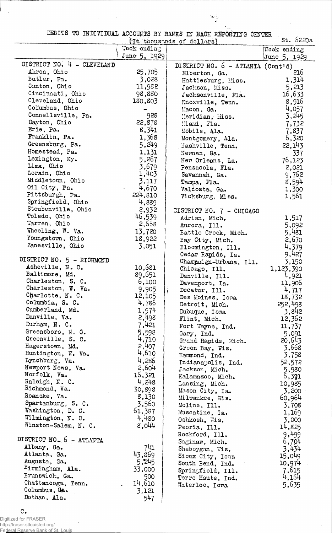DEBITS TO INDIVIDUAL ACCOUNTS BY BANKS IN EACH REPORTING CENTER

 $\frac{\left\langle \mathbf{S}_{\mathcal{L}}\right\rangle _{i}^{2}}{\left\langle \mathbf{S}_{i}\right\rangle _{i}}$ 

 $\hat{\gamma}_{\rm ph}$ 

| St. 5220a<br>(In thousands of dollars) |              |                                   |                    |  |
|----------------------------------------|--------------|-----------------------------------|--------------------|--|
|                                        | Week ending  |                                   | <b>Week ending</b> |  |
|                                        | June 5, 1929 |                                   | June 5, 1929       |  |
| DISTRICT NO. 4 - CLEVELAND             |              | DISTRICT NO. 6 - ATLANTA (Cont'd) |                    |  |
| Akron, Ohio                            | 25,705       | Elberton, Ga.                     | 216                |  |
| Butler, Pa.                            | 3,028        | Hattiesburg, Miss.                | 1,314              |  |
| Canton, Ohio                           | 11,982       | Jackson, Miss.                    | 5,213              |  |
| Cincinnati, Ohio                       | 98,880       | Jacksonville, Fla.                | 16,633             |  |
| Cleveland, Ohio                        | 180,803      |                                   | 8,916              |  |
| Columbus, Ohio                         |              | Knoxville, Tenn.                  | 4,057              |  |
| Connellsville, Pa.                     | 928          | Macon, Ga.                        | 3,245              |  |
| Dayton, Ohio                           | 22,878       | Meridian, Miss.                   | 7,732              |  |
| Erie, Pa.                              | 8,341        | Miami, Fla.                       |                    |  |
| Franklin, Pa.                          | 1,368        | Mobile, Ala.                      | 7,837              |  |
| Greensburg, Pa.                        | 5,249        | Montgomery, Ala.                  | 6,320              |  |
| Homestead, Pa.                         |              | Mashville, Tenn.                  | 22,143             |  |
| Lexington, Ky.                         | 1,131        | Newman, Ga.                       | 337                |  |
| Lima, Ohio                             | 5,267        | New Orleans, La.                  | 76,123             |  |
|                                        | 3,679        | Pensacola, Fla.                   | 2,021              |  |
| Lorain, Ohio                           | 1,403        | Savannah, Ga.                     | 9,762              |  |
| Middletown, Ohio                       | 3,117        | Tampa, Fla.                       | 8,594              |  |
| Oil City, Pa.                          | 4,670        | Valdosta, Ga.                     | 1,300              |  |
| Pittsburgh, Pa.                        | 224,810      | Vicksburg, Miss.                  | 1,561              |  |
| Springfield, Ohio                      | 4,889        |                                   |                    |  |
| Steubenville, Ohio                     | 2,932        | DISTRICT NO. 7 - CHICAGO          |                    |  |
| Toledo, Ohio                           | 46,539       | Adrian, Mich.                     | 1,517              |  |
| Warren, Ohio                           | 2,668        | Aurora, Ill.                      | 5,092              |  |
| Wheeling, W. Va.                       | 13,720       | Battle Creek, Mich.               | 5,481              |  |
| Youngstown, Ohio                       | 18,922       | Bay City, Mich.                   | 2,670              |  |
| Zanesville, Ohio                       | 3,051        | Bloomington, Ill.                 | 4,379              |  |
|                                        |              | Cedar Rapids, Ia.                 | 9,427              |  |
| DISTRICT NO. 5 - RICHMOND              |              | Champaign-Urbana, Ill.            | 3,150              |  |
| Asheville, N. C.                       | 10,681       | Chicago, Ill.                     | 1,123,390          |  |
| Baltimore, Md.                         | 89,651       | Danville, Ill.                    | 4,921              |  |
| Charleston, S. C.                      | 6,100        | Davenport, Ia.                    | 11,906             |  |
| Charleston, W. Va.                     | 9,905        | Decatur, Ill.                     | 4,717              |  |
| Charlotte, N. C.                       | 12,105       | Des Moines, Iowa                  | 18,732             |  |
| Columbia, S. C.                        | 4,786        | Detroit, Mich.                    | 252,498            |  |
| Cumberland, Md.                        | 1,974        | Dubuque, Iowa                     | 3,842              |  |
| Danville, Va.                          | 2,498        | Flint, Mich.                      | 12,362             |  |
| Durham, N. C.                          | 7,421        | Fort Wayne, Ind.                  | 11,737             |  |
| Greensboro, N. C.                      | 5,598        | Gary, Ind.                        | 5,091              |  |
| Greenville, S. C.                      | 4,710        | Grand Rapids, Mich.               | 20,643             |  |
| Hagerstown, Md.                        | 2,407        | Green Bay, Wis.                   | 3,668              |  |
| Huntington, W. Va.                     | 4,610        | Hammond, Ind.                     | 3,758              |  |
| Lynchburg, Va.                         | 4,286        | Indianapolis, Ind.                | 52,572             |  |
| Newport News, Va.                      | 2,604        | Jackson, Mich.                    | 5,980              |  |
| Norfolk, Va.                           | 16,321       | Kalamazoo, Mich.                  | 6,371              |  |
| Raleigh, N. C.                         | 4,248        | Lansing, Mich.                    | 10,985             |  |
| Richmond, Va.                          | 30,898       | Mason City, Ia.                   | 3,200              |  |
| Roanoke, Va.                           | 8,130        | Milwaukee, Wis.                   | 60,964             |  |
| Spartanburg, S. C.                     | 3,560        | Moline, Ill.                      | 3,708              |  |
| Washington, D. C.                      | 61,387       | Muscatine, Ia.                    | 1,169              |  |
| Wilmington, N. C.                      | 4,480        | Oshkosh, Wis.                     | 3,000              |  |
| Winston-Salem, N. C.                   | 8,044        | Peoria, Ill.                      | 14,825             |  |
|                                        |              | Rockford, Ill.                    | 9,499              |  |
| DISTRICT NO. 6 - ATLANTA               |              | Saginaw, Mich.                    | 6,704              |  |
| Albany, Ga.                            | 741          | Sheboygan, Wis.                   | 3,434              |  |
| Atlanta, Ga.                           | 43,869       | Sioux City, Iowa                  | 15,049             |  |
| Augusta, Ga.                           | 5,245        | South Bend, Ind.                  | 10,974             |  |
| Birmingham, Ala.                       | 33,000       | Springfield, Ill.                 | 7,615              |  |
| Brunswick, Ga.                         | 900          | Terre Haute, Ind.                 | 4,164              |  |
| Chattanooga, Tenn.                     | 14,610       | Waterloo, Iowa                    | 5,635              |  |
| Columbus, Ga.                          | 3,121        |                                   |                    |  |
| Dothan, Ala.                           | 547          |                                   |                    |  |
|                                        |              |                                   |                    |  |

## C.

 $\bar{\phantom{a}}$ 

Digitized for FRASER http://fraser.stlouisfed.org/ Federal Reserve Bank of St. Louis